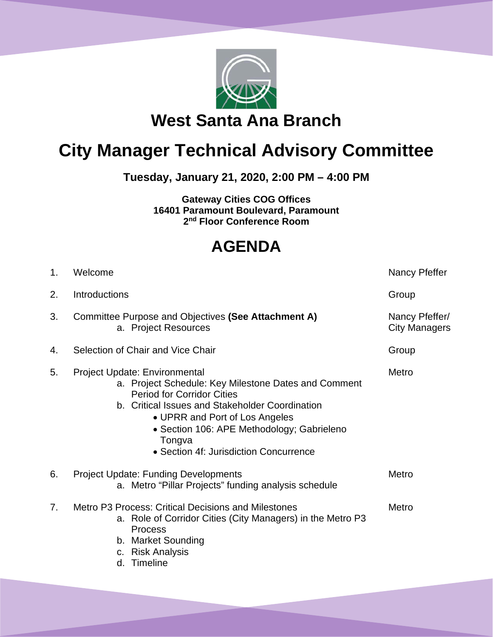

## **City Manager Technical Advisory Committee**

**Tuesday, January 21, 2020, 2:00 PM – 4:00 PM**

**Gateway Cities COG Offices 16401 Paramount Boulevard, Paramount 2nd Floor Conference Room**

## **AGENDA**

| 1.             | Welcome                                                                                                                                                                                                                                                                                                           | Nancy Pfeffer                          |
|----------------|-------------------------------------------------------------------------------------------------------------------------------------------------------------------------------------------------------------------------------------------------------------------------------------------------------------------|----------------------------------------|
| 2.             | <b>Introductions</b>                                                                                                                                                                                                                                                                                              | Group                                  |
| 3.             | Committee Purpose and Objectives (See Attachment A)<br>a. Project Resources                                                                                                                                                                                                                                       | Nancy Pfeffer/<br><b>City Managers</b> |
| 4.             | Selection of Chair and Vice Chair                                                                                                                                                                                                                                                                                 | Group                                  |
| 5.             | Project Update: Environmental<br>a. Project Schedule: Key Milestone Dates and Comment<br><b>Period for Corridor Cities</b><br>b. Critical Issues and Stakeholder Coordination<br>• UPRR and Port of Los Angeles<br>• Section 106: APE Methodology; Gabrieleno<br>Tongva<br>• Section 4f: Jurisdiction Concurrence | Metro                                  |
| 6.             | <b>Project Update: Funding Developments</b><br>a. Metro "Pillar Projects" funding analysis schedule                                                                                                                                                                                                               | Metro                                  |
| 7 <sub>1</sub> | Metro P3 Process: Critical Decisions and Milestones<br>a. Role of Corridor Cities (City Managers) in the Metro P3<br><b>Process</b><br>b. Market Sounding<br>c. Risk Analysis<br>Timeline<br>d.                                                                                                                   | Metro                                  |